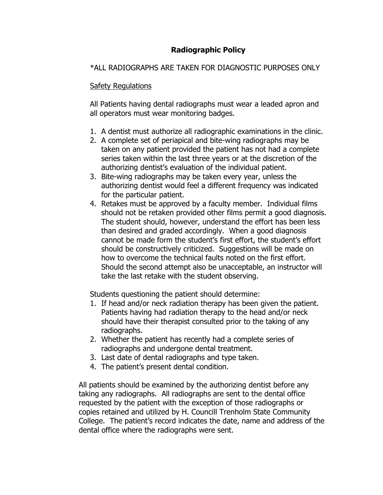# **Radiographic Policy**

## \*ALL RADIOGRAPHS ARE TAKEN FOR DIAGNOSTIC PURPOSES ONLY

## Safety Regulations

All Patients having dental radiographs must wear a leaded apron and all operators must wear monitoring badges.

- 1. A dentist must authorize all radiographic examinations in the clinic.
- 2. A complete set of periapical and bite-wing radiographs may be taken on any patient provided the patient has not had a complete series taken within the last three years or at the discretion of the authorizing dentist's evaluation of the individual patient.
- 3. Bite-wing radiographs may be taken every year, unless the authorizing dentist would feel a different frequency was indicated for the particular patient.
- 4. Retakes must be approved by a faculty member. Individual films should not be retaken provided other films permit a good diagnosis. The student should, however, understand the effort has been less than desired and graded accordingly. When a good diagnosis cannot be made form the student's first effort, the student's effort should be constructively criticized. Suggestions will be made on how to overcome the technical faults noted on the first effort. Should the second attempt also be unacceptable, an instructor will take the last retake with the student observing.

Students questioning the patient should determine:

- 1. If head and/or neck radiation therapy has been given the patient. Patients having had radiation therapy to the head and/or neck should have their therapist consulted prior to the taking of any radiographs.
- 2. Whether the patient has recently had a complete series of radiographs and undergone dental treatment.
- 3. Last date of dental radiographs and type taken.
- 4. The patient's present dental condition.

All patients should be examined by the authorizing dentist before any taking any radiographs. All radiographs are sent to the dental office requested by the patient with the exception of those radiographs or copies retained and utilized by H. Councill Trenholm State Community College. The patient's record indicates the date, name and address of the dental office where the radiographs were sent.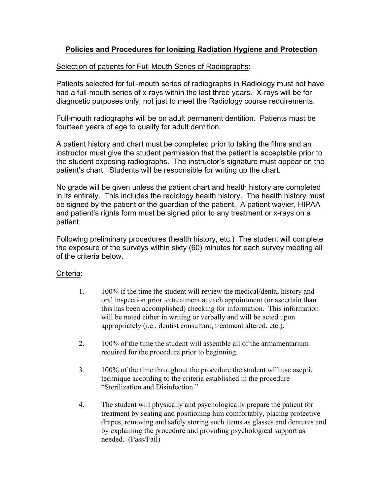## **Policies and Procedures for Ionizing Radiation Hygiene and Protection**

## Selection of patients for Full-Mouth Series of Radiographs:

Patients selected for full-mouth series of radiographs in Radiology must not have had a full-mouth series of x-rays within the last three years. X-rays will be for diagnostic purposes only, not just to meet the Radiology course requirements.

Full-mouth radiographs will be on adult permanent dentition. Patients must be fourteen years of age to qualify for adult dentition.

A patient history and chart must be completed prior to taking the films and an instructor must give the student permission that the patient is acceptable prior to the student exposing radiographs. The instructor's signature must appear on the patient's chart. Students will be responsible for writing up the chart.

No grade will be given unless the patient chart and health history are completed in its entirety. This includes the radiology health history. The health history must be signed by the patient or the guardian of the patient. A patient wavier, HIPAA and patient's rights form must be signed prior to any treatment or x-rays on a patient.

Following preliminary procedures (health history, etc.) The student will complete the exposure of the surveys within sixty (60) minutes for each survey meeting all of the criteria below.

#### Criteria:

- 1. 100% if the time the student will review the medical/dental history and oral inspection prior to treatment at each appointment (or ascertain than this has been accomplished) checking for information. This information will be noted either in writing or verbally and will be acted upon appropriately (i.e., dentist consultant, treatment altered, etc.).
- 2. 100% of the time the student will assemble all of the armamentarium required for the procedure prior to beginning.
- 3. 100% of the time throughout the procedure the student will use aseptic technique according to the criteria established in the procedure "Sterilization and Disinfection."
- 4. The student will physically and psychologically prepare the patient for treatment by seating and positioning him comfortably, placing protective drapes, removing and safely storing such items as glasses and dentures and by explaining the procedure and providing psychological support as needed. (Pass/Fail)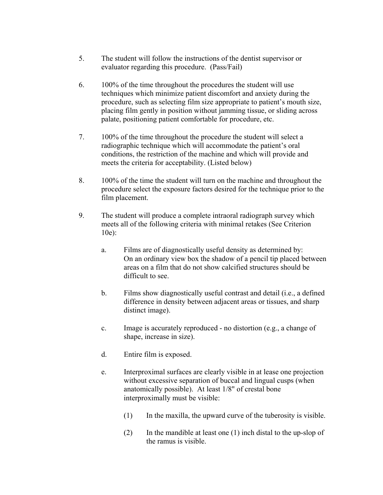- 5. The student will follow the instructions of the dentist supervisor or evaluator regarding this procedure. (Pass/Fail)
- 6. 100% of the time throughout the procedures the student will use techniques which minimize patient discomfort and anxiety during the procedure, such as selecting film size appropriate to patient's mouth size, placing film gently in position without jamming tissue, or sliding across palate, positioning patient comfortable for procedure, etc.
- 7. 100% of the time throughout the procedure the student will select a radiographic technique which will accommodate the patient's oral conditions, the restriction of the machine and which will provide and meets the criteria for acceptability. (Listed below)
- 8. 100% of the time the student will turn on the machine and throughout the procedure select the exposure factors desired for the technique prior to the film placement.
- 9. The student will produce a complete intraoral radiograph survey which meets all of the following criteria with minimal retakes (See Criterion 10e):
	- a. Films are of diagnostically useful density as determined by: On an ordinary view box the shadow of a pencil tip placed between areas on a film that do not show calcified structures should be difficult to see.
	- b. Films show diagnostically useful contrast and detail (i.e., a defined difference in density between adjacent areas or tissues, and sharp distinct image).
	- c. Image is accurately reproduced no distortion (e.g., a change of shape, increase in size).
	- d. Entire film is exposed.
	- e. Interproximal surfaces are clearly visible in at lease one projection without excessive separation of buccal and lingual cusps (when anatomically possible). At least 1/8" of crestal bone interproximally must be visible:
		- (1) In the maxilla, the upward curve of the tuberosity is visible.
		- (2) In the mandible at least one (1) inch distal to the up-slop of the ramus is visible.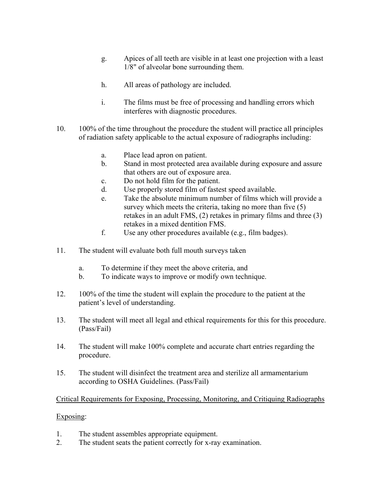- g. Apices of all teeth are visible in at least one projection with a least 1/8" of alveolar bone surrounding them.
- h. All areas of pathology are included.
- i. The films must be free of processing and handling errors which interferes with diagnostic procedures.
- 10. 100% of the time throughout the procedure the student will practice all principles of radiation safety applicable to the actual exposure of radiographs including:
	- a. Place lead apron on patient.
	- b. Stand in most protected area available during exposure and assure that others are out of exposure area.
	- c. Do not hold film for the patient.
	- d. Use properly stored film of fastest speed available.
	- e. Take the absolute minimum number of films which will provide a survey which meets the criteria, taking no more than five (5) retakes in an adult FMS, (2) retakes in primary films and three (3) retakes in a mixed dentition FMS.
	- f. Use any other procedures available (e.g., film badges).
- 11. The student will evaluate both full mouth surveys taken
	- a. To determine if they meet the above criteria, and
	- b. To indicate ways to improve or modify own technique.
- 12. 100% of the time the student will explain the procedure to the patient at the patient's level of understanding.
- 13. The student will meet all legal and ethical requirements for this for this procedure. (Pass/Fail)
- 14. The student will make 100% complete and accurate chart entries regarding the procedure.
- 15. The student will disinfect the treatment area and sterilize all armamentarium according to OSHA Guidelines. (Pass/Fail)

#### Critical Requirements for Exposing, Processing, Monitoring, and Critiquing Radiographs

#### Exposing:

- 1. The student assembles appropriate equipment.
- 2. The student seats the patient correctly for x-ray examination.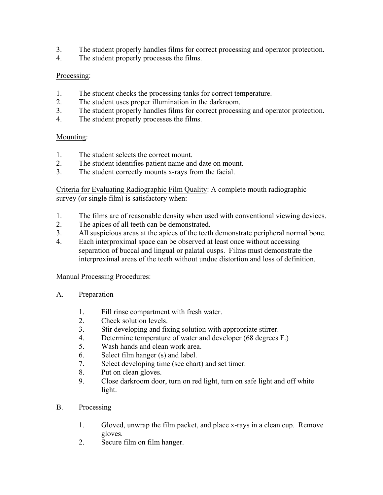- 3. The student properly handles films for correct processing and operator protection.
- 4. The student properly processes the films.

## Processing:

- 1. The student checks the processing tanks for correct temperature.
- 2. The student uses proper illumination in the darkroom.
- 3. The student properly handles films for correct processing and operator protection.
- 4. The student properly processes the films.

## Mounting:

- 1. The student selects the correct mount.
- 2. The student identifies patient name and date on mount.
- 3. The student correctly mounts x-rays from the facial.

Criteria for Evaluating Radiographic Film Quality: A complete mouth radiographic survey (or single film) is satisfactory when:

- 1. The films are of reasonable density when used with conventional viewing devices.
- 2. The apices of all teeth can be demonstrated.
- 3. All suspicious areas at the apices of the teeth demonstrate peripheral normal bone.
- 4. Each interproximal space can be observed at least once without accessing separation of buccal and lingual or palatal cusps. Films must demonstrate the interproximal areas of the teeth without undue distortion and loss of definition.

#### Manual Processing Procedures:

- A. Preparation
	- 1. Fill rinse compartment with fresh water.<br>2. Check solution levels
	- 2. Check solution levels.
	- 3. Stir developing and fixing solution with appropriate stirrer.
	- 4. Determine temperature of water and developer (68 degrees F.)
	- 5. Wash hands and clean work area.
	- 6. Select film hanger (s) and label.
	- 7. Select developing time (see chart) and set timer.
	- 8. Put on clean gloves.
	- 9. Close darkroom door, turn on red light, turn on safe light and off white light.
- B. Processing
	- 1. Gloved, unwrap the film packet, and place x-rays in a clean cup. Remove gloves.
	- 2. Secure film on film hanger.